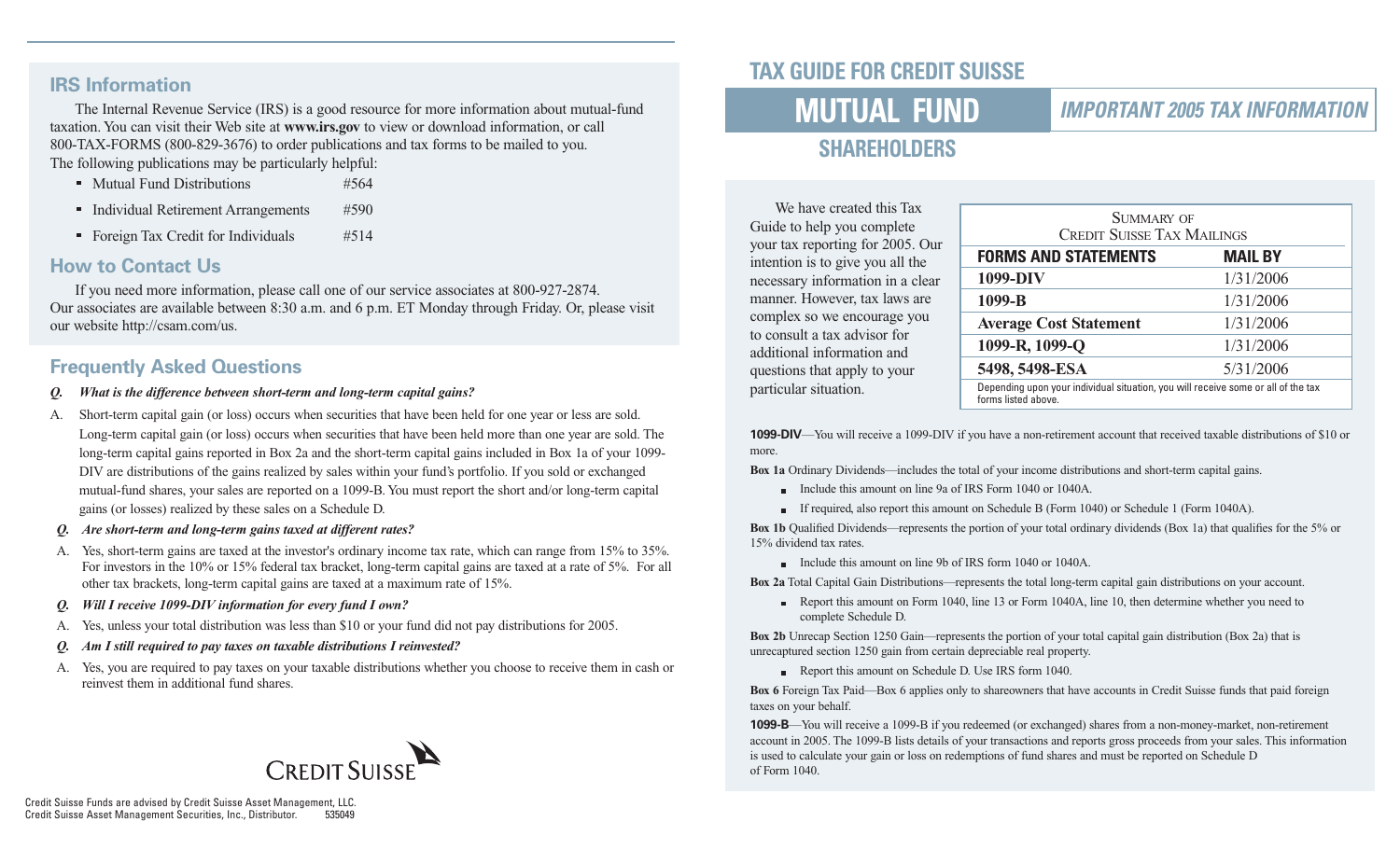### **IRS Information**

The Internal Revenue Service (IRS) is a good resource for more information about mutual-fund taxation. You can visit their Web site at **www.irs.gov** to view or download information, or call 800-TAX-FORMS (800-829-3676) to order publications and tax forms to be mailed to you. The following publications may be particularly helpful:

- Mutual Fund Distributions #564
- Individual Retirement Arrangements #590
- Foreign Tax Credit for Individuals #514

### **How to Contact Us**

If you need more information, please call one of our service associates at 800-927-2874. Our associates are available between 8:30 a.m. and 6 p.m. ET Monday through Friday. Or, please visit our website http://csam.com/us.

### **Frequently Asked Questions**

- *What is the difference between short-term and long-term capital gains?*
- A. Short-term capital gain (or loss) occurs when securities that have been held for one year or less are sold. Long-term capital gain (or loss) occurs when securities that have been held more than one year are sold. The long-term capital gains reported in Box 2a and the short-term capital gains included in Box 1a of your 1099- DIV are distributions of the gains realized by sales within your fund's portfolio. If you sold or exchanged mutual-fund shares, your sales are reported on a 1099-B. You must report the short and/or long-term capital gains (or losses) realized by these sales on a Schedule D.
- *Q. Are short-term and long-term gains taxed at different rates?*
- A. Yes, short-term gains are taxed at the investor's ordinary income tax rate, which can range from 15% to 35%. For investors in the 10% or 15% federal tax bracket, long-term capital gains are taxed at a rate of 5%. For all other tax brackets, long-term capital gains are taxed at a maximum rate of 15%.
- *Q. Will I receive 1099-DIV information for every fund I own?*
- A. Yes, unless your total distribution was less than \$10 or your fund did not pay distributions for 2005.
- *Q. Am I still required to pay taxes on taxable distributions I reinvested?*
- A. Yes, you are required to pay taxes on your taxable distributions whether you choose to receive them in cash or reinvest them in additional fund shares.



## **TAX GUIDE FOR CREDIT SUISSE**

# **MUTUAL FUND**

### *IMPORTANT 2005 TAX INFORMATION*

# **SHAREHOLDERS**

We have created this Tax Guide to help you complete your tax reporting for 2005. Our intention is to give you all the necessary information in a clear manner. However, tax laws are complex so we encourage you to consult a tax advisor for additional information and questions that apply to your particular situation.

| <b>SUMMARY OF</b><br><b>CREDIT SUISSE TAX MAILINGS</b>                                                   |                |  |  |  |
|----------------------------------------------------------------------------------------------------------|----------------|--|--|--|
| <b>FORMS AND STATEMENTS</b>                                                                              | <b>MAIL BY</b> |  |  |  |
| 1099-DIV                                                                                                 | 1/31/2006      |  |  |  |
| 1099-B                                                                                                   | 1/31/2006      |  |  |  |
| <b>Average Cost Statement</b>                                                                            | 1/31/2006      |  |  |  |
| 1099-R, 1099-Q                                                                                           | 1/31/2006      |  |  |  |
| 5498, 5498-ESA                                                                                           | 5/31/2006      |  |  |  |
| Depending upon your individual situation, you will receive some or all of the tax<br>forms listed above. |                |  |  |  |

**1099-DIV**—You will receive a 1099-DIV if you have a non-retirement account that received taxable distributions of \$10 or more.

**Box 1a** Ordinary Dividends—includes the total of your income distributions and short-term capital gains.

- Include this amount on line 9a of IRS Form 1040 or 1040A.
- If required, also report this amount on Schedule B (Form 1040) or Schedule 1 (Form 1040A).

**Box 1b** Qualified Dividends—represents the portion of your total ordinary dividends (Box 1a) that qualifies for the 5% or 15% dividend tax rates.

Include this amount on line 9b of IRS form 1040 or 1040A.

**Box 2a** Total Capital Gain Distributions—represents the total long-term capital gain distributions on your account.

Report this amount on Form 1040, line 13 or Form 1040A, line 10, then determine whether you need to complete Schedule D.

**Box 2b** Unrecap Section 1250 Gain—represents the portion of your total capital gain distribution (Box 2a) that is unrecaptured section 1250 gain from certain depreciable real property.

Report this amount on Schedule D. Use IRS form 1040.

**Box 6** Foreign Tax Paid—Box 6 applies only to shareowners that have accounts in Credit Suisse funds that paid foreign taxes on your behalf.

**1099-B**—You will receive a 1099-B if you redeemed (or exchanged) shares from a non-money-market, non-retirement account in 2005. The 1099-B lists details of your transactions and reports gross proceeds from your sales. This information is used to calculate your gain or loss on redemptions of fund shares and must be reported on Schedule D of Form 1040.

Credit Suisse Funds are advised by Credit Suisse Asset Management, LLC. Credit Suisse Asset Management Securities, Inc., Distributor.